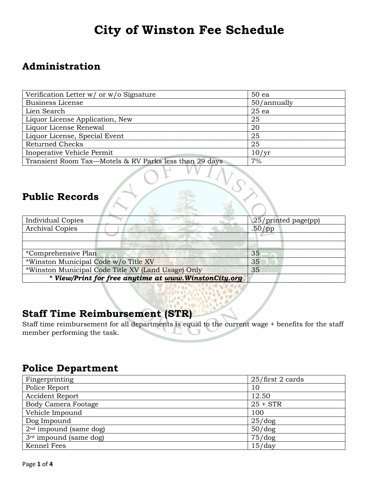# **City of Winston Fee Schedule**

#### **Administration**

| Verification Letter w/ or w/o Signature                | 50 ea       |
|--------------------------------------------------------|-------------|
| <b>Business License</b>                                | 50/annually |
| Lien Search                                            | $25$ ea     |
| Liquor License Application, New                        | 25          |
| Liquor License Renewal                                 | 20          |
| Liquor License, Special Event                          | 25          |
| <b>Returned Checks</b>                                 | 25          |
| Inoperative Vehicle Permit                             | 10/yr       |
| Transient Room Tax—Motels & RV Parks less than 29 days | 7%          |

# **Public Records**

| <b>Individual Copies</b>                             | .25/printed page(pp) |  |
|------------------------------------------------------|----------------------|--|
| <b>Archival Copies</b>                               | $.50$ /pp            |  |
|                                                      |                      |  |
|                                                      |                      |  |
| *Comprehensive Plan                                  | 35                   |  |
| *Winston Municipal Code w/o Title XV                 | 35                   |  |
| *Winston Municipal Code Title XV (Land Usage) Only   | 35                   |  |
| * View/Print for free anytime at www.WinstonCity.org |                      |  |

#### **Staff Time Reimbursement (STR)**

Staff time reimbursement for all departments is equal to the current wage + benefits for the staff member performing the task.

### **Police Department**

| Fingerprinting             | 25/first 2 cards |
|----------------------------|------------------|
| Police Report              | 10               |
| Accident Report            | 12.50            |
| <b>Body Camera Footage</b> | $25 + STR$       |
| Vehicle Impound            | 100              |
| Dog Impound                | $25/\text{dog}$  |
| $2nd$ impound (same dog)   | $50/d$ og        |
| $3rd$ impound (same dog)   | 75/dog           |
| Kennel Fees                | 15/day           |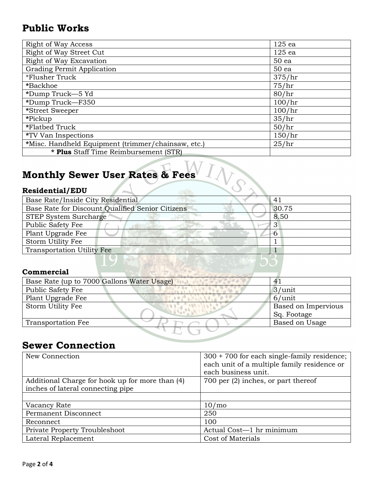### **Public Works**

| <b>Right of Way Access</b>                         | 125 ea |
|----------------------------------------------------|--------|
| Right of Way Street Cut                            | 125 ea |
| Right of Way Excavation                            | 50 ea  |
| Grading Permit Application                         | 50 ea  |
| *Flusher Truck                                     | 375/hr |
| *Backhoe                                           | 75/hr  |
| *Dump Truck-5 Yd                                   | 80/hr  |
| *Dump Truck-F350                                   | 100/hr |
| *Street Sweeper                                    | 100/hr |
| *Pickup                                            | 35/hr  |
| *Flatbed Truck                                     | 50/hr  |
| *TV Van Inspections                                | 150/hr |
| *Misc. Handheld Equipment (trimmer/chainsaw, etc.) | 25/hr  |
| * Plus Staff Time Reimbursement (STR)              |        |

# **Monthly Sewer User Rates & Fees**

### **Residential/EDU**

| Base Rate/Inside City Residential                | 41    |
|--------------------------------------------------|-------|
| Base Rate for Discount Qualified Senior Citizens | 30.75 |
| STEP System Surcharge                            | 8.50  |
| <b>Public Safety Fee</b>                         |       |
| Plant Upgrade Fee                                |       |
| Storm Utility Fee                                |       |
| <b>Transportation Utility Fee</b>                |       |
|                                                  |       |

#### **Commercial**

| Base Rate (up to 7000 Gallons Water Usage) |                     |
|--------------------------------------------|---------------------|
| <b>Public Safety Fee</b>                   | $3/$ unit           |
| Plant Upgrade Fee                          | $6/$ unit           |
| Storm Utility Fee                          | Based on Impervious |
|                                            | Sq. Footage         |
| <b>Transportation Fee</b>                  | Based on Usage      |
|                                            |                     |

#### **Sewer Connection**

| New Connection                                                                       | $300 + 700$ for each single-family residence;<br>each unit of a multiple family residence or<br>each business unit. |
|--------------------------------------------------------------------------------------|---------------------------------------------------------------------------------------------------------------------|
| Additional Charge for hook up for more than (4)<br>inches of lateral connecting pipe | 700 per $(2)$ inches, or part thereof                                                                               |
|                                                                                      |                                                                                                                     |
| Vacancy Rate                                                                         | 10/m <sub>o</sub>                                                                                                   |
| Permanent Disconnect                                                                 | 250                                                                                                                 |
| Reconnect                                                                            | 100                                                                                                                 |
| Private Property Troubleshoot                                                        | Actual Cost-1 hr minimum                                                                                            |
| Lateral Replacement                                                                  | Cost of Materials                                                                                                   |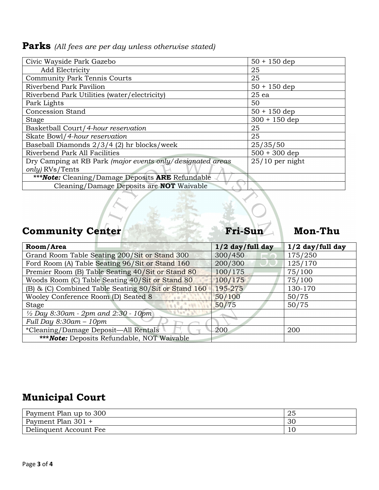### **Parks** *(All fees are per day unless otherwise stated)*

| Civic Wayside Park Gazebo                                  | $50 + 150$ dep    |
|------------------------------------------------------------|-------------------|
| <b>Add Electricity</b>                                     | 25                |
| <b>Community Park Tennis Courts</b>                        | 25                |
| Riverbend Park Pavilion                                    | $50 + 150$ dep    |
| Riverbend Park Utilities (water/electricity)               | $25$ ea           |
| Park Lights                                                | 50                |
| <b>Concession Stand</b>                                    | $50 + 150$ dep    |
| <b>Stage</b>                                               | $300 + 150$ dep   |
| Basketball Court/4-hour reservation                        | 25                |
| Skate Bowl/4-hour reservation                              | 25                |
| Baseball Diamonds 2/3/4 (2) hr blocks/week                 | 25/35/50          |
| Riverbend Park All Facilities                              | $500 + 300$ dep   |
| Dry Camping at RB Park (major events only/designated areas | $25/10$ per night |
| only) RVs/Tents                                            |                   |
| *** Note: Cleaning/Damage Deposits ARE Refundable          |                   |
| Cleaning/Damage Deposits are NOT Waivable                  |                   |

# Community Center Fri-Sun Mon-Thu

| Room/Area                                                | $1/2$ day/full day | $1/2$ day/full day |
|----------------------------------------------------------|--------------------|--------------------|
| Grand Room Table Seating 200/Sit or Stand 300            | 300/450            | 175/250            |
| Ford Room (A) Table Seating 96/Sit or Stand 160          | 200/300            | 125/170            |
| Premier Room (B) Table Seating 40/Sit or Stand 80        | 100/175            | 75/100             |
| Woods Room (C) Table Seating 40/Sit or Stand 80          | 100/175            | 75/100             |
| (B) & (C) Combined Table Seating 80/Sit or Stand 160     | 195-275            | 130-170            |
| Wooley Conference Room (D) Seated 8                      | 50/100             | 50/75              |
| <b>Stage</b>                                             | 50/75              | 50/75              |
| $\frac{1}{2}$ Day 8:30am - 2pm and 2:30 - 10pm           |                    |                    |
| Full Day $8:30$ am $-10$ pm                              |                    |                    |
| *Cleaning/Damage Deposit—All Rentals                     | -200               | 200                |
| <b>***<i>Note:</i></b> Deposits Refundable, NOT Waivable |                    |                    |

# **Municipal Court**

| Payment Plan up to 300 | 25 |
|------------------------|----|
| Payment Plan 301 +     | 30 |
| Delinquent Account Fee | 10 |